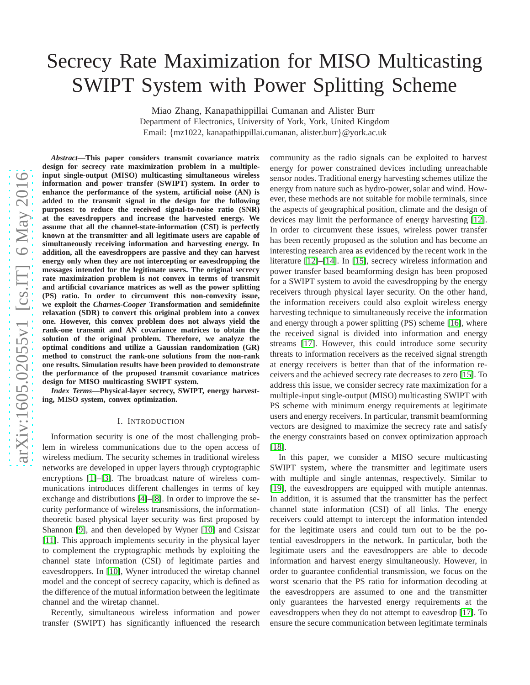# Secrecy Rate Maximization for MISO Multicasting SWIPT System with Power Splitting Scheme

Miao Zhang, Kanapathippillai Cumanan and Alister Burr

Department of Electronics, University of York, York, United Kingdom Email: {mz1022, kanapathippillai.cumanan, alister.burr}@york.ac.uk

*Abstract***—This paper considers transmit covariance matrix design for secrecy rate maximization problem in a multipleinput single-output (MISO) multicasting simultaneous wireless information and power transfer (SWIPT) system. In order to enhance the performance of the system, artificial noise (AN) is added to the transmit signal in the design for the following purposes: to reduce the received signal-to-noise ratio (SNR) at the eavesdroppers and increase the harvested energy. We assume that all the channel-state-information (CSI) is perfectly known at the transmitter and all legitimate users are capable of simultaneously receiving information and harvesting energy. In addition, all the eavesdroppers are passive and they can harvest energy only when they are not intercepting or eavesdropping the messages intended for the legitimate users. The original secrecy rate maximization problem is not convex in terms of transmit and artificial covariance matrices as well as the power splitting (PS) ratio. In order to circumvent this non-convexity issue, we exploit the** *Charnes-Cooper* **Transformation and semidefinite relaxation (SDR) to convert this original problem into a convex one. However, this convex problem does not always yield the rank-one transmit and AN covariance matrices to obtain the solution of the original problem. Therefore, we analyze the optimal conditions and utilize a Gaussian randomization (GR) method to construct the rank-one solutions from the non-rank one results. Simulation results have been provided to demonstrate the performance of the proposed transmit covariance matrices design for MISO multicasting SWIPT system.**

*Index Terms***—Physical-layer secrecy, SWIPT, energy harvesting, MISO system, convex optimization.**

#### I. INTRODUCTION

Information security is one of the most challenging problem in wireless communications due to the open access of wireless medium. The security schemes in traditional wireless networks are developed in upper layers through cryptographic encryptions [\[1\]](#page-5-0)–[\[3\]](#page-5-1). The broadcast nature of wireless communications introduces different challenges in terms of key exchange and distributions [\[4\]](#page-5-2)–[\[8\]](#page-5-3). In order to improve the security performance of wireless transmissions, the informationtheoretic based physical layer security was first proposed by Shannon [\[9\]](#page-5-4), and then developed by Wyner [\[10\]](#page-5-5) and Csiszar [\[11\]](#page-5-6). This approach implements security in the physical layer to complement the cryptographic methods by exploiting the channel state information (CSI) of legitimate parties and eavesdroppers. In [\[10\]](#page-5-5), Wyner introduced the wiretap channel model and the concept of secrecy capacity, which is defined as the difference of the mutual information between the legitimate channel and the wiretap channel.

Recently, simultaneous wireless information and power transfer (SWIPT) has significantly influenced the research

community as the radio signals can be exploited to harvest energy for power constrained devices including unreachable sensor nodes. Traditional energy harvesting schemes utilize the energy from nature such as hydro-power, solar and wind. However, these methods are not suitable for mobile terminals, since the aspects of geographical position, climate and the design of devices may limit the performance of energy harvesting [\[12\]](#page-5-7). In order to circumvent these issues, wireless power transfer has been recently proposed as the solution and has become an interesting research area as evidenced by the recent work in the literature [\[12\]](#page-5-7)–[\[14\]](#page-5-8). In [\[15\]](#page-5-9), secrecy wireless information and power transfer based beamforming design has been proposed for a SWIPT system to avoid the eavesdropping by the energy receivers through physical layer security. On the other hand, the information receivers could also exploit wireless energy harvesting technique to simultaneously receive the information and energy through a power splitting (PS) scheme [\[16\]](#page-5-10), where the received signal is divided into information and energy streams [\[17\]](#page-5-11). However, this could introduce some security threats to information receivers as the received signal strength at energy receivers is better than that of the information receivers and the achieved secrecy rate decreases to zero [\[15\]](#page-5-9). To address this issue, we consider secrecy rate maximization for a multiple-input single-output (MISO) multicasting SWIPT with PS scheme with minimum energy requirements at legitimate users and energy receivers. In particular, transmit beamforming vectors are designed to maximize the secrecy rate and satisfy the energy constraints based on convex optimization approach [\[18\]](#page-5-12).

In this paper, we consider a MISO secure multicasting SWIPT system, where the transmitter and legitimate users with multiple and single antennas, respectively. Similar to [\[19\]](#page-5-13), the eavesdroppers are equipped with mutiple antennas. In addition, it is assumed that the transmitter has the perfect channel state information (CSI) of all links. The energy receivers could attempt to intercept the information intended for the legitimate users and could turn out to be the potential eavesdroppers in the network. In particular, both the legitimate users and the eavesdroppers are able to decode information and harvest energy simultaneously. However, in order to guarantee confidential transmission, we focus on the worst scenario that the PS ratio for information decoding at the eavesdroppers are assumed to one and the transmitter only guarantees the harvested energy requirements at the eavesdroppers when they do not attempt to eavesdrop [\[17\]](#page-5-11). To ensure the secure communication between legitimate terminals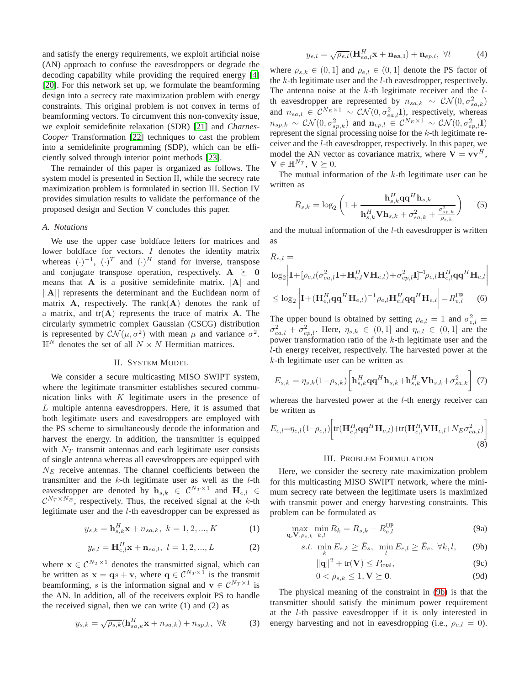and satisfy the energy requirements, we exploit artificial noise (AN) approach to confuse the eavesdroppers or degrade the decoding capability while providing the required energy [\[4\]](#page-5-2) [\[20\]](#page-5-14). For this network set up, we formulate the beamforming design into a secrecy rate maximization problem with energy constraints. This original problem is not convex in terms of beamforming vectors. To circumvent this non-convexity issue, we exploit semidefinite relaxation (SDR) [\[21\]](#page-5-15) and *Charnes-Cooper* Transformation [\[22\]](#page-5-16) techniques to cast the problem into a semidefinite programming (SDP), which can be efficiently solved through interior point methods [\[23\]](#page-5-17).

The remainder of this paper is organized as follows. The system model is presented in Section II, while the secrecy rate maximization problem is formulated in section III. Section IV provides simulation results to validate the performance of the proposed design and Section V concludes this paper.

## *A. Notations*

We use the upper case boldface letters for matrices and lower boldface for vectors. I denotes the identity matrix whereas  $(\cdot)^{-1}$ ,  $(\cdot)^{T}$  and  $(\cdot)^{H}$  stand for inverse, transpose and conjugate transpose operation, respectively.  $A \succeq 0$ means that  $\bf{A}$  is a positive semidefinite matrix.  $|\bf{A}|$  and ||A|| represents the determinant and the Euclidean norm of matrix  $A$ , respectively. The rank $(A)$  denotes the rank of a matrix, and  $tr(A)$  represents the trace of matrix  $A$ . The circularly symmetric complex Gaussian (CSCG) distribution is represented by  $\mathcal{CN}(\mu, \sigma^2)$  with mean  $\mu$  and variance  $\sigma^2$ .  $\mathbb{H}^N$  denotes the set of all  $N \times N$  Hermitian matrices.

## II. SYSTEM MODEL

We consider a secure multicasting MISO SWIPT system, where the legitimate transmitter establishes secured communication links with  $K$  legitimate users in the presence of L multiple antenna eavesdroppers. Here, it is assumed that both legitimate users and eavesdroppers are employed with the PS scheme to simultaneously decode the information and harvest the energy. In addition, the transmitter is equipped with  $N_T$  transmit antennas and each legitimate user consists of single antenna whereas all eavesdroppers are equipped with  $N_E$  receive antennas. The channel coefficients between the transmitter and the  $k$ -th legitimate user as well as the  $l$ -th eavesdropper are denoted by  $\mathbf{h}_{s,k} \in \mathcal{C}^{N_T \times 1}$  and  $\mathbf{H}_{e,l} \in \mathbb{R}^{N_T \times 1}$  $\mathcal{C}^{N_T \times N_E}$ , respectively. Thus, the received signal at the k-th legitimate user and the l-th eavesdropper can be expressed as

$$
y_{s,k} = \mathbf{h}_{s,k}^H \mathbf{x} + n_{sa,k}, \ k = 1, 2, ..., K
$$
 (1)

$$
y_{e,l} = \mathbf{H}_{e,l}^H \mathbf{x} + \mathbf{n}_{ea,l}, \ l = 1, 2, ..., L
$$
 (2)

where  $\mathbf{x} \in \mathcal{C}^{N_T \times 1}$  denotes the transmitted signal, which can be written as  $\mathbf{x} = \mathbf{q}s + \mathbf{v}$ , where  $\mathbf{q} \in \mathcal{C}^{N_T \times 1}$  is the transmit beamforming, *s* is the information signal and  $\mathbf{v} \in C^{N_T \times 1}$  is the AN. In addition, all of the receivers exploit PS to handle the received signal, then we can write  $(1)$  and  $(2)$  as

$$
y_{s,k} = \sqrt{\rho_{s,k}} (\mathbf{h}_{sa,k}^H \mathbf{x} + n_{sa,k}) + n_{sp,k}, \ \forall k \tag{3}
$$

$$
y_{e,l} = \sqrt{\rho_{e,l}} (\mathbf{H}_{ea,l}^H \mathbf{x} + \mathbf{n}_{ea,l}) + \mathbf{n}_{ep,l}, \ \forall l \tag{4}
$$

where  $\rho_{s,k} \in (0,1]$  and  $\rho_{e,l} \in (0,1]$  denote the PS factor of the  $k$ -th legitimate user and the  $l$ -th eavesdropper, respectively. The antenna noise at the  $k$ -th legitimate receiver and the  $l$ th eavesdropper are represented by  $n_{sa,k} \sim \mathcal{CN}(0, \sigma_{sa,k}^2)$ and  $n_{ea,l} \in \mathcal{C}^{N_E \times 1} \sim \mathcal{CN}(0, \sigma_{ea,l}^2 \mathbf{I})$ , respectively, whereas  $n_{sp,k} \sim \mathcal{CN}(0, \sigma_{sp,k}^2)$  and  $\mathbf{n}_{ep,l} \in \mathcal{C}^{N_E \times 1} \sim \mathcal{CN}(0, \sigma_{ep,l}^2 \mathbf{I})$ represent the signal processing noise for the k-th legitimate receiver and the l-th eavesdropper, respectively. In this paper, we model the AN vector as covariance matrix, where  $V = vv<sup>H</sup>$ ,  $\mathbf{V} \in \mathbb{H}^{N_T}$ ,  $\mathbf{V} \succeq 0$ .

The mutual information of the  $k$ -th legitimate user can be written as

$$
R_{s,k} = \log_2 \left( 1 + \frac{\mathbf{h}_{s,k}^H \mathbf{q} \mathbf{q}^H \mathbf{h}_{s,k}}{\mathbf{h}_{s,k}^H \mathbf{V} \mathbf{h}_{s,k} + \sigma_{sa,k}^2 + \frac{\sigma_{sp,k}^2}{\rho_{s,k}}} \right) \tag{5}
$$

and the mutual information of the l-th eavesdropper is written as

$$
R_{e,l} = \log_2 \left| \mathbf{I} + [\rho_{e,l}(\sigma_{ea,l}^2 \mathbf{I} + \mathbf{H}_{e,l}^H \mathbf{V} \mathbf{H}_{e,l}) + \sigma_{ep,l}^2 \mathbf{I}]^{-1} \rho_{e,l} \mathbf{H}_{e,l}^H \mathbf{q} \mathbf{q}^H \mathbf{H}_{e,l} \right|
$$
  

$$
\leq \log_2 \left| \mathbf{I} + (\mathbf{H}_{e,l}^H \mathbf{q} \mathbf{q}^H \mathbf{H}_{e,l})^{-1} \rho_{e,l} \mathbf{H}_{e,l}^H \mathbf{q} \mathbf{q}^H \mathbf{H}_{e,l} \right| = R_{e,l}^{\text{UP}} \qquad (6)
$$

The upper bound is obtained by setting  $\rho_{e,l} = 1$  and  $\sigma_{e,l}^2 =$  $\sigma_{ea,l}^2 + \sigma_{ep,l}^2$ . Here,  $\eta_{s,k} \in (0,1]$  and  $\eta_{e,l} \in (0,1]$  are the power transformation ratio of the k-th legitimate user and the l-th energy receiver, respectively. The harvested power at the  $k$ -th legitimate user can be written as

$$
E_{s,k} = \eta_{s,k} (1 - \rho_{s,k}) \left[ \mathbf{h}_{s,k}^H \mathbf{q} \mathbf{q}^H \mathbf{h}_{s,k} + \mathbf{h}_{s,k}^H \mathbf{V} \mathbf{h}_{s,k} + \sigma_{sa,k}^2 \right] \tag{7}
$$

whereas the harvested power at the  $l$ -th energy receiver can be written as

$$
E_{e,l} = \eta_{e,l} (1 - \rho_{e,l}) \left[ \text{tr}(\mathbf{H}_{e,l}^H \mathbf{q} \mathbf{q}^H \mathbf{H}_{e,l}) + \text{tr}(\mathbf{H}_{e,l}^H \mathbf{V} \mathbf{H}_{e,l} + N_E \sigma_{ea,l}^2) \right]
$$
\n(8)

### III. PROBLEM FORMULATION

Here, we consider the secrecy rate maximization problem for this multicasting MISO SWIPT network, where the minimum secrecy rate between the legitimate users is maximized with transmit power and energy harvesting constraints. This problem can be formulated as

$$
\max_{\mathbf{q}, \mathbf{V}, \rho_{s,k}} \min_{k,l} R_k = R_{s,k} - R_{e,l}^{\text{UP}} \tag{9a}
$$

s.t. 
$$
\min_{k} E_{s,k} \ge \bar{E}_s, \quad \min_{l} E_{e,l} \ge \bar{E}_e, \quad \forall k, l,
$$
 (9b)

<span id="page-1-0"></span>
$$
\|\mathbf{q}\|^2 + \text{tr}(\mathbf{V}) \le P_{\text{total}},\tag{9c}
$$

$$
0 < \rho_{s,k} \le 1, \mathbf{V} \succeq \mathbf{0}.\tag{9d}
$$

The physical meaning of the constraint in [\(9b\)](#page-1-0) is that the transmitter should satisfy the minimum power requirement at the l-th passive eavesdropper if it is only interested in energy harvesting and not in eavesdropping (i.e.,  $\rho_{e,l} = 0$ ).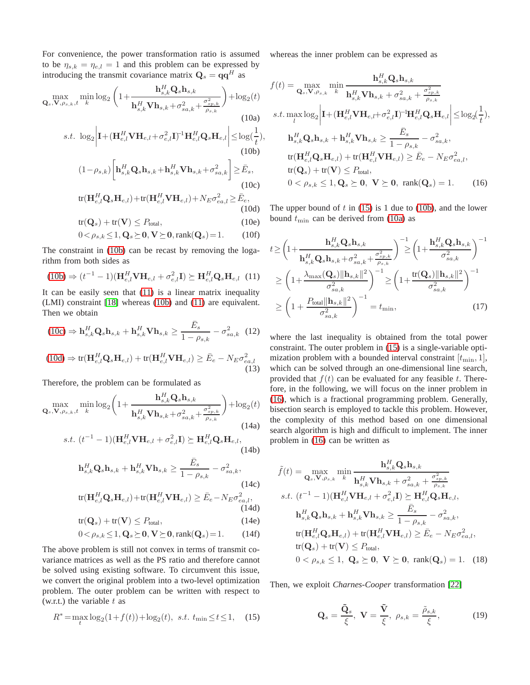For convenience, the power transformation ratio is assumed to be  $\eta_{s,k} = \eta_{e,l} = 1$  and this problem can be expressed by introducing the transmit covariance matrix  $\mathbf{Q}_s = \mathbf{q}\mathbf{q}^H$  as

$$
\max_{\mathbf{Q}_s, \mathbf{V}, \rho_{s,k}, t} \min_k \log_2 \left( 1 + \frac{\mathbf{h}_{s,k}^H \mathbf{Q}_s \mathbf{h}_{s,k}}{\mathbf{h}_{s,k}^H \mathbf{V} \mathbf{h}_{s,k} + \sigma_{sa,k}^2 + \frac{\sigma_{sp,k}^2}{\rho_{s,k}}} \right) + \log_2(t)
$$
\n(10a)

$$
s.t. \log_2 \left| \mathbf{I} + (\mathbf{H}_{e,l}^H \mathbf{V} \mathbf{H}_{e,l} + \sigma_{e,l}^2 \mathbf{I})^{-1} \mathbf{H}_{e,l}^H \mathbf{Q}_s \mathbf{H}_{e,l} \right| \le \log(\frac{1}{t}),
$$
\n(10b)

$$
(1 - \rho_{s,k}) \bigg[ \mathbf{h}_{s,k}^H \mathbf{Q}_s \mathbf{h}_{s,k} + \mathbf{h}_{s,k}^H \mathbf{V} \mathbf{h}_{s,k} + \sigma_{sa,k}^2 \bigg] \ge \bar{E}_s,
$$
  
(10c)  

$$
\text{tr}(\mathbf{H}_{e,l}^H \mathbf{Q}_s \mathbf{H}_{e,l}) + \text{tr}(\mathbf{H}_{e,l}^H \mathbf{V} \mathbf{H}_{e,l}) + N_E \sigma_{ea,l}^2 \ge \bar{E}_e,
$$

$$
\text{tr}(\mathbf{H}_{e,l}^H \mathbf{Q}_s \mathbf{H}_{e,l}) + \text{tr}(\mathbf{H}_{e,l}^H \mathbf{V} \mathbf{H}_{e,l}) + N_E \sigma_{ea,l}^2 \ge \bar{E}_e, \tag{10d}
$$

$$
tr(\mathbf{Q}_s) + tr(\mathbf{V}) \le P_{total},\tag{10e}
$$

$$
0 < \rho_{s,k} \le 1, \mathbf{Q}_s \succeq \mathbf{0}, \mathbf{V} \succeq \mathbf{0}, \text{rank}(\mathbf{Q}_s) = 1. \tag{10f}
$$

The constraint in [\(10b\)](#page-2-0) can be recast by removing the logarithm from both sides as

$$
(10b) \Rightarrow (t^{-1} - 1)(\mathbf{H}_{e,l}^H \mathbf{V} \mathbf{H}_{e,l} + \sigma_{e,l}^2 \mathbf{I}) \succeq \mathbf{H}_{e,l}^H \mathbf{Q}_s \mathbf{H}_{e,l} \tag{11}
$$

It can be easily seen that [\(11\)](#page-2-1) is a linear matrix inequality (LMI) constraint [\[18\]](#page-5-12) whereas [\(10b\)](#page-2-0) and [\(11\)](#page-2-1) are equivalent. Then we obtain

$$
(10c) \Rightarrow \mathbf{h}_{s,k}^H \mathbf{Q}_s \mathbf{h}_{s,k} + \mathbf{h}_{s,k}^H \mathbf{V} \mathbf{h}_{s,k} \ge \frac{\bar{E}_s}{1 - \rho_{s,k}} - \sigma_{sa,k}^2
$$
 (12)

$$
(10d) \Rightarrow \text{tr}(\mathbf{H}_{e,l}^H \mathbf{Q}_s \mathbf{H}_{e,l}) + \text{tr}(\mathbf{H}_{e,l}^H \mathbf{V} \mathbf{H}_{e,l}) \ge \bar{E}_e - N_E \sigma_{ea,l}^2
$$
\n(13)

Therefore, the problem can be formulated as

$$
\max_{\mathbf{Q}_s, \mathbf{V}, \rho_{s,k}, t} \min_k \log_2 \left( 1 + \frac{\mathbf{h}_{s,k}^H \mathbf{Q}_s \mathbf{h}_{s,k}}{\mathbf{h}_{s,k}^H \mathbf{V} \mathbf{h}_{s,k} + \sigma_{sa,k}^2 + \frac{\sigma_{sp,k}^2}{\rho_{s,k}}} \right) + \log_2(t)
$$
\n(14a)

s.t. 
$$
(t^{-1} - 1)(\mathbf{H}_{e,l}^H \mathbf{V} \mathbf{H}_{e,l} + \sigma_{e,l}^2 \mathbf{I}) \succeq \mathbf{H}_{e,l}^H \mathbf{Q}_s \mathbf{H}_{e,l},
$$
 (14b)

$$
\mathbf{h}_{s,k}^H \mathbf{Q}_s \mathbf{h}_{s,k} + \mathbf{h}_{s,k}^H \mathbf{V} \mathbf{h}_{s,k} \ge \frac{\bar{E}_s}{1 - \rho_{s,k}} - \sigma_{sa,k}^2,
$$
\n(14c)\n
$$
\text{tr}(\mathbf{H}_{e,l}^H \mathbf{Q}_s \mathbf{H}_{e,l}) + \text{tr}(\mathbf{H}_{e,l}^H \mathbf{V} \mathbf{H}_{e,l}) \ge \bar{E}_e - N_E \sigma_{ea,l}^2,
$$
\n(14d)

$$
tr(\mathbf{Q}_s) + tr(\mathbf{V}) \le P_{total},\tag{14e}
$$

$$
0 < \rho_{s,k} \le 1, \mathbf{Q}_s \succeq \mathbf{0}, \mathbf{V} \succeq \mathbf{0}, \text{rank}(\mathbf{Q}_s) = 1. \tag{14f}
$$

The above problem is still not convex in terms of transmit covariance matrices as well as the PS ratio and therefore cannot be solved using existing software. To circumvent this issue, we convert the original problem into a two-level optimization problem. The outer problem can be written with respect to (w.r.t.) the variable  $t$  as

$$
R^* = \max_t \log_2(1 + f(t)) + \log_2(t), \ \ s.t. \ \ t_{\min} \le t \le 1, \tag{15}
$$

whereas the inner problem can be expressed as

<span id="page-2-5"></span>
$$
f(t) = \max_{\mathbf{Q}_s, \mathbf{V}, \rho_{s,k}} \min_{k} \frac{\mathbf{h}_{s,k}^H \mathbf{Q}_s \mathbf{h}_{s,k}}{\mathbf{h}_{s,k}^H \mathbf{V} \mathbf{h}_{s,k} + \sigma_{sa,k}^2 + \frac{\sigma_{sp,k}^2}{\rho_{s,k}}}
$$
  
s.t.  $\max_l \log_2 \left| \mathbf{I} + (\mathbf{H}_{e,l}^H \mathbf{V} \mathbf{H}_{e,l} + \sigma_{e,l}^2 \mathbf{I})^{-1} \mathbf{H}_{e,l}^H \mathbf{Q}_s \mathbf{H}_{e,l} \right| \le \log_2(\frac{1}{t}),$   

$$
\mathbf{h}_{s,k}^H \mathbf{Q}_s \mathbf{h}_{s,k} + \mathbf{h}_{s,k}^H \mathbf{V} \mathbf{h}_{s,k} \ge \frac{\bar{E}_s}{1 - \rho_{s,k}} - \sigma_{sa,k}^2,
$$
  

$$
\text{tr}(\mathbf{H}_{e,l}^H \mathbf{Q}_s \mathbf{H}_{e,l}) + \text{tr}(\mathbf{H}_{e,l}^H \mathbf{V} \mathbf{H}_{e,l}) \ge \bar{E}_e - N_E \sigma_{ea,l}^2,
$$
  

$$
\text{tr}(\mathbf{Q}_s) + \text{tr}(\mathbf{V}) \le P_{\text{total}},
$$
  

$$
0 < \rho_{s,k} \le 1, \mathbf{Q}_s \succeq \mathbf{0}, \mathbf{V} \succeq \mathbf{0}, \text{rank}(\mathbf{Q}_s) = 1. \tag{16}
$$

<span id="page-2-6"></span><span id="page-2-3"></span><span id="page-2-2"></span><span id="page-2-0"></span>The upper bound of  $t$  in [\(15\)](#page-2-4) is 1 due to [\(10b\)](#page-2-0), and the lower bound  $t_{\text{min}}$  can be derived from [\(10a\)](#page-2-5) as

<span id="page-2-1"></span>
$$
t \geq \left(1 + \frac{\mathbf{h}_{s,k}^{H} \mathbf{Q}_{s} \mathbf{h}_{s,k}}{\mathbf{h}_{s,k}^{H} \mathbf{Q}_{s} \mathbf{h}_{s,k} + \sigma_{sa,k}^{2} + \frac{\sigma_{sp,k}^{2}}{\rho_{s,k}}}\right)^{-1} \geq \left(1 + \frac{\mathbf{h}_{s,k}^{H} \mathbf{Q}_{s} \mathbf{h}_{s,k}}{\sigma_{sa,k}^{2}}\right)^{-1}
$$

$$
\geq \left(1 + \frac{\lambda_{\max}(\mathbf{Q}_{s}) \|\mathbf{h}_{s,k}\|^{2}}{\sigma_{sa,k}^{2}}\right)^{-1} \geq \left(1 + \frac{\text{tr}(\mathbf{Q}_{s}) \|\mathbf{h}_{s,k}\|^{2}}{\sigma_{sa,k}^{2}}\right)^{-1}
$$

$$
\geq \left(1 + \frac{P_{\text{total}} \|\mathbf{h}_{s,k}\|^{2}}{\sigma_{sa,k}^{2}}\right)^{-1} = t_{\text{min}},\tag{17}
$$

where the last inequality is obtained from the total power constraint. The outer problem in [\(15\)](#page-2-4) is a single-variable optimization problem with a bounded interval constraint  $[t_{\min}, 1]$ , which can be solved through an one-dimensional line search, provided that  $f(t)$  can be evaluated for any feasible t. Therefore, in the following, we will focus on the inner problem in [\(16\)](#page-2-6), which is a fractional programming problem. Generally, bisection search is employed to tackle this problem. However, the complexity of this method based on one dimensional search algorithm is high and difficult to implement. The inner problem in [\(16\)](#page-2-6) can be written as

$$
\tilde{f}(t) = \max_{\mathbf{Q}_s, \mathbf{V}, \rho_{s,k}} \min_{k} \frac{\mathbf{h}_{s,k}^H \mathbf{Q}_s \mathbf{h}_{s,k}}{\mathbf{h}_{s,k}^H \mathbf{V} \mathbf{h}_{s,k} + \sigma_{sa,k}^2 + \frac{\sigma_{sp,k}^2}{\rho_{s,k}}}
$$
\ns.t.  $(t^{-1} - 1)(\mathbf{H}_{e,l}^H \mathbf{V} \mathbf{H}_{e,l} + \sigma_{e,l}^2 \mathbf{I}) \succeq \mathbf{H}_{e,l}^H \mathbf{Q}_s \mathbf{H}_{e,l},$ \n
$$
\mathbf{h}_{s,k}^H \mathbf{Q}_s \mathbf{h}_{s,k} + \mathbf{h}_{s,k}^H \mathbf{V} \mathbf{h}_{s,k} \ge \frac{\bar{E}_s}{1 - \rho_{s,k}} - \sigma_{sa,k}^2,
$$
\n
$$
\text{tr}(\mathbf{H}_{e,l}^H \mathbf{Q}_s \mathbf{H}_{e,l}) + \text{tr}(\mathbf{H}_{e,l}^H \mathbf{V} \mathbf{H}_{e,l}) \ge \bar{E}_e - N_E \sigma_{ea,l}^2,
$$
\n
$$
\text{tr}(\mathbf{Q}_s) + \text{tr}(\mathbf{V}) \le P_{\text{total}},
$$
\n
$$
0 < \rho_{s,k} \le 1, \ \mathbf{Q}_s \succeq \mathbf{0}, \ \mathbf{V} \succeq \mathbf{0}, \ \text{rank}(\mathbf{Q}_s) = 1. \tag{18}
$$

<span id="page-2-4"></span>Then, we exploit *Charnes-Cooper* transformation [\[22\]](#page-5-16)

$$
\mathbf{Q}_s = \frac{\tilde{\mathbf{Q}}_s}{\xi}, \ \mathbf{V} = \frac{\tilde{\mathbf{V}}}{\xi}, \ \rho_{s,k} = \frac{\tilde{\rho}_{s,k}}{\xi}, \tag{19}
$$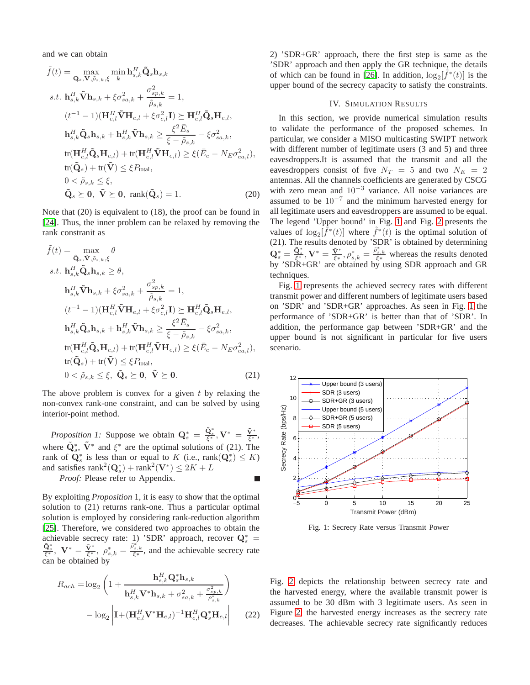and we can obtain

$$
\tilde{f}(t) = \max_{\mathbf{Q}_s, \mathbf{V}, \tilde{\rho}_{s,k}, \xi} \min_{k} \mathbf{h}_{s,k}^H \tilde{\mathbf{Q}}_s \mathbf{h}_{s,k}
$$
\n
$$
s.t. \mathbf{h}_{s,k}^H \tilde{\mathbf{V}} \mathbf{h}_{s,k} + \xi \sigma_{sa,k}^2 + \frac{\sigma_{sp,k}^2}{\tilde{\rho}_{s,k}} = 1,
$$
\n
$$
(t^{-1} - 1)(\mathbf{H}_{e,l}^H \tilde{\mathbf{V}} \mathbf{H}_{e,l} + \xi \sigma_{e,l}^2 \mathbf{I}) \succeq \mathbf{H}_{e,l}^H \tilde{\mathbf{Q}}_s \mathbf{H}_{e,l},
$$
\n
$$
\mathbf{h}_{s,k}^H \tilde{\mathbf{Q}}_s \mathbf{h}_{s,k} + \mathbf{h}_{s,k}^H \tilde{\mathbf{V}} \mathbf{h}_{s,k} \ge \frac{\xi^2 \bar{E}_s}{\xi - \tilde{\rho}_{s,k}} - \xi \sigma_{sa,k}^2,
$$
\n
$$
\text{tr}(\mathbf{H}_{e,l}^H \tilde{\mathbf{Q}}_s \mathbf{H}_{e,l}) + \text{tr}(\mathbf{H}_{e,l}^H \tilde{\mathbf{V}} \mathbf{H}_{e,l}) \ge \xi (\bar{E}_e - N_E \sigma_{ea,l}^2),
$$
\n
$$
\text{tr}(\tilde{\mathbf{Q}}_s) + \text{tr}(\tilde{\mathbf{V}}) \le \xi P_{\text{total}},
$$
\n
$$
0 < \tilde{\rho}_{s,k} \le \xi,
$$
\n
$$
\tilde{\mathbf{Q}}_s \succeq \mathbf{0}, \ \tilde{\mathbf{V}} \succeq \mathbf{0}, \ \text{rank}(\tilde{\mathbf{Q}}_s) = 1.
$$
\n(20)

Note that (20) is equivalent to (18), the proof can be found in [\[24\]](#page-5-18). Thus, the inner problem can be relaxed by removing the rank constranit as

$$
\tilde{f}(t) = \max_{\tilde{\mathbf{Q}}_s, \tilde{\mathbf{V}}, \tilde{\rho}_{s,k}, \xi} \theta
$$
\ns.t.  $\mathbf{h}_{s,k}^H \tilde{\mathbf{Q}}_s \mathbf{h}_{s,k} \geq \theta$ ,  
\n
$$
\mathbf{h}_{s,k}^H \tilde{\mathbf{V}} \mathbf{h}_{s,k} + \xi \sigma_{sa,k}^2 + \frac{\sigma_{sp,k}^2}{\tilde{\rho}_{s,k}} = 1,
$$
\n
$$
(t^{-1} - 1)(\mathbf{H}_{e,l}^H \tilde{\mathbf{V}} \mathbf{H}_{e,l} + \xi \sigma_{e,l}^2 \mathbf{I}) \succeq \mathbf{H}_{e,l}^H \tilde{\mathbf{Q}}_s \mathbf{H}_{e,l},
$$
\n
$$
\mathbf{h}_{s,k}^H \tilde{\mathbf{Q}}_s \mathbf{h}_{s,k} + \mathbf{h}_{s,k}^H \tilde{\mathbf{V}} \mathbf{h}_{s,k} \geq \frac{\xi^2 \bar{E}_s}{\xi - \tilde{\rho}_{s,k}} - \xi \sigma_{sa,k}^2,
$$
\n
$$
\text{tr}(\mathbf{H}_{e,l}^H \tilde{\mathbf{Q}}_s \mathbf{H}_{e,l}) + \text{tr}(\mathbf{H}_{e,l}^H \tilde{\mathbf{V}} \mathbf{H}_{e,l}) \geq \xi(\bar{E}_e - N_E \sigma_{ea,l}^2),
$$
\n
$$
\text{tr}(\tilde{\mathbf{Q}}_s) + \text{tr}(\tilde{\mathbf{V}}) \leq \xi P_{\text{total}},
$$
\n
$$
0 < \tilde{\rho}_{s,k} \leq \xi, \ \tilde{\mathbf{Q}}_s \succeq \mathbf{0}, \ \tilde{\mathbf{V}} \succeq \mathbf{0}.
$$
\n(21)

The above problem is convex for a given  $t$  by relaxing the non-convex rank-one constraint, and can be solved by using interior-point method.

<span id="page-3-1"></span>*Proposition 1:* Suppose we obtain  $Q_s^* = \frac{\tilde{Q}_s^*}{\xi^*}, V^* = \frac{\tilde{Y}^*}{\xi^*},$ where  $\tilde{\mathbf{Q}}_s^*$ ,  $\tilde{\mathbf{V}}^*$  and  $\xi^*$  are the optimal solutions of (21). The rank of  $\mathbf{Q}_s^*$  is less than or equal to K (i.e., rank $(\mathbf{Q}_s^*) \leq K$ ) and satisfies  $\text{rank}^2(\mathbf{Q}_s^*) + \text{rank}^2(\mathbf{V}^*) \leq 2K + L$ 

*Proof:* Please refer to Appendix.

By exploiting *Proposition* 1, it is easy to show that the optimal solution to (21) returns rank-one. Thus a particular optimal solution is employed by considering rank-reduction algorithm [\[25\]](#page-5-19). Therefore, we considered two approaches to obtain the achievable secrecy rate: 1) 'SDR' approach, recover  $\mathbf{Q}_s^* =$  $\frac{\tilde{\mathbf{Q}}_s^*}{\xi^*}, \ \mathbf{V}^* = \frac{\tilde{\mathbf{Y}}^*}{\xi^*}, \ \rho_{s,k}^* = \frac{\tilde{\rho}_{s,k}^*}{\xi^*}, \ \text{and the achievable secrecy rate}$ can be obtained by

$$
R_{ach} = \log_2 \left( 1 + \frac{\mathbf{h}_{s,k}^H \mathbf{Q}_s^* \mathbf{h}_{s,k}}{\mathbf{h}_{s,k}^H \mathbf{V}^* \mathbf{h}_{s,k} + \sigma_{sa,k}^2 + \frac{\sigma_{sp,k}^2}{\rho_{s,k}^*}} \right) - \log_2 \left| \mathbf{I} + (\mathbf{H}_{e,l}^H \mathbf{V}^* \mathbf{H}_{e,l})^{-1} \mathbf{H}_{e,l}^H \mathbf{Q}_s^* \mathbf{H}_{e,l} \right| \tag{22}
$$

2) 'SDR+GR' approach, there the first step is same as the 'SDR' approach and then apply the GR technique, the details of which can be found in [\[26\]](#page-5-20). In addition,  $\log_2[\tilde{f}^*(t)]$  is the upper bound of the secrecy capacity to satisfy the constraints.

# IV. SIMULATION RESULTS

In this section, we provide numerical simulation results to validate the performance of the proposed schemes. In particular, we consider a MISO multicasting SWIPT network with different number of legitimate users  $(3 \text{ and } 5)$  and three eavesdroppers.It is assumed that the transmit and all the eavesdroppers consist of five  $N_T = 5$  and two  $N_E = 2$ antennas. All the channels coefficients are generated by CSCG with zero mean and  $10^{-3}$  variance. All noise variances are assumed to be  $10^{-7}$  and the minimum harvested energy for all legitimate users and eavesdroppers are assumed to be equal. The legend 'Upper bound' in Fig. [1](#page-3-0) and Fig. [2](#page-4-0) presents the values of  $\log_2[\tilde{f}^*(t)]$  where  $\tilde{f}^*(t)$  is the optimal solution of (21). The results denoted by 'SDR' is obtained by determining  $\mathbf{Q}_s^* = \frac{\tilde{\mathbf{Q}}_s^*}{\xi^*}, \mathbf{V}^* = \frac{\tilde{\mathbf{V}}_s^*}{\xi^*}, \rho_{s,k}^* = \frac{\tilde{\rho}_{s,k}^*}{\xi^*}$  whereas the results denoted by 'SDR+GR' are obtained by using SDR approach and GR techniques.

Fig. [1](#page-3-0) represents the achieved secrecy rates with different transmit power and different numbers of legitimate users based on 'SDR' and 'SDR+GR' approaches. As seen in Fig. [1](#page-3-0) the performance of 'SDR+GR' is better than that of 'SDR'. In addition, the performance gap between 'SDR+GR' and the upper bound is not significant in particular for five users scenario.



<span id="page-3-0"></span>Fig. 1: Secrecy Rate versus Transmit Power

Fig. [2](#page-4-0) depicts the relationship between secrecy rate and the harvested energy, where the available transmit power is assumed to be 30 dBm with 3 legitimate users. As seen in Figure [2,](#page-4-0) the harvested energy increases as the secrecy rate decreases. The achievable secrecy rate significantly reduces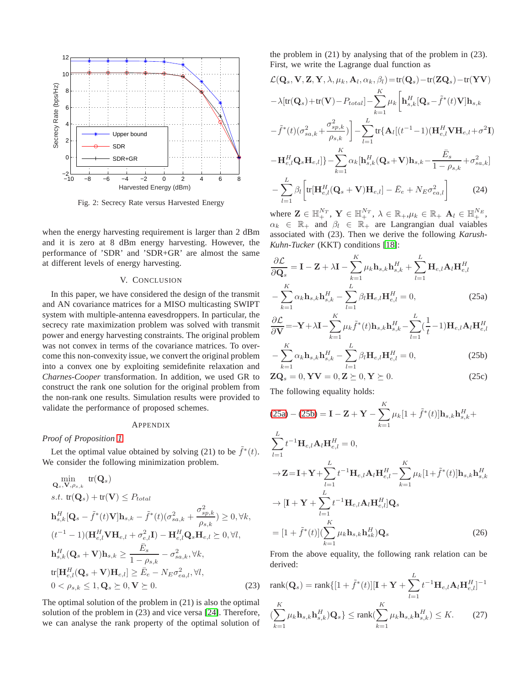

<span id="page-4-0"></span>Fig. 2: Secrecy Rate versus Harvested Energy

when the energy harvesting requirement is larger than 2 dBm and it is zero at 8 dBm energy harvesting. However, the performance of 'SDR' and 'SDR+GR' are almost the same at different levels of energy harvesting.

# V. CONCLUSION

In this paper, we have considered the design of the transmit and AN covariance matrices for a MISO multicasting SWIPT system with multiple-antenna eavesdroppers. In particular, the secrecy rate maximization problem was solved with transmit power and energy harvesting constraints. The original problem was not convex in terms of the covariance matrices. To overcome this non-convexity issue, we convert the original problem into a convex one by exploiting semidefinite relaxation and *Charnes-Cooper* transformation. In addition, we used GR to construct the rank one solution for the original problem from the non-rank one results. Simulation results were provided to validate the performance of proposed schemes.

#### APPENDIX

## *Proof of Proposition [1](#page-3-1)*

Let the optimal value obtained by solving (21) to be  $\tilde{f}^*(t)$ . We consider the following minimization problem.

$$
\min_{\mathbf{Q}_s, \mathbf{V}, \rho_{s,k}} tr(\mathbf{Q}_s)
$$
\n
$$
s.t. tr(\mathbf{Q}_s) + tr(\mathbf{V}) \le P_{total}
$$
\n
$$
\mathbf{h}_{s,k}^H[\mathbf{Q}_s - \tilde{f}^*(t)\mathbf{V}]\mathbf{h}_{s,k} - \tilde{f}^*(t)(\sigma_{sa,k}^2 + \frac{\sigma_{sp,k}^2}{\rho_{s,k}}) \ge 0, \forall k,
$$
\n
$$
(t^{-1} - 1)(\mathbf{H}_{e,l}^H \mathbf{V} \mathbf{H}_{e,l} + \sigma_{e,l}^2 \mathbf{I}) - \mathbf{H}_{e,l}^H \mathbf{Q}_s \mathbf{H}_{e,l} \ge 0, \forall l,
$$
\n
$$
\mathbf{h}_{s,k}^H(\mathbf{Q}_s + \mathbf{V})\mathbf{h}_{s,k} \ge \frac{\bar{E}_s}{1 - \rho_{s,k}} - \sigma_{sa,k}^2, \forall k,
$$
\n
$$
tr[\mathbf{H}_{e,l}^H(\mathbf{Q}_s + \mathbf{V})\mathbf{H}_{e,l}] \ge \bar{E}_e - N_E \sigma_{ea,l}^2, \forall l,
$$
\n
$$
0 < \rho_{s,k} \le 1, \mathbf{Q}_s \ge 0, \mathbf{V} \ge 0.
$$
\n(23)

The optimal solution of the problem in (21) is also the optimal solution of the problem in (23) and vice versa [\[24\]](#page-5-18). Therefore, we can analyse the rank property of the optimal solution of the problem in (21) by analysing that of the problem in (23). First, we write the Lagrange dual function as

$$
\mathcal{L}(\mathbf{Q}_s, \mathbf{V}, \mathbf{Z}, \mathbf{Y}, \lambda, \mu_k, \mathbf{A}_l, \alpha_k, \beta_l) = \text{tr}(\mathbf{Q}_s) - \text{tr}(\mathbf{Z}\mathbf{Q}_s) - \text{tr}(\mathbf{Y}\mathbf{V})
$$

$$
-\lambda[\text{tr}(\mathbf{Q}_s) + \text{tr}(\mathbf{V}) - P_{total}] - \sum_{k=1}^{K} \mu_k \left[\mathbf{h}_{s,k}^H[\mathbf{Q}_s - \tilde{f}^*(t)\mathbf{V}]\mathbf{h}_{s,k}\right]
$$

$$
-\tilde{f}^*(t)(\sigma_{sa,k}^2 + \frac{\sigma_{sp,k}^2}{\rho_{s,k}})\right] - \sum_{l=1}^{L} \text{tr}\{\mathbf{A}_l[(t^{-1} - 1)(\mathbf{H}_{e,l}^H \mathbf{V}\mathbf{H}_{e,l} + \sigma^2 \mathbf{I})\right]
$$

$$
-\mathbf{H}_{e,l}^H \mathbf{Q}_s \mathbf{H}_{e,l}\} - \sum_{k=1}^{K} \alpha_k [\mathbf{h}_{s,k}^H(\mathbf{Q}_s + \mathbf{V})\mathbf{h}_{s,k} - \frac{\bar{E}_s}{1 - \rho_{s,k}} + \sigma_{sa,k}^2]
$$

$$
-\sum_{l=1}^{L} \beta_l \left[\text{tr}[\mathbf{H}_{e,l}^H(\mathbf{Q}_s + \mathbf{V})\mathbf{H}_{e,l}] - \bar{E}_e + N_E \sigma_{ea,l}^2\right]
$$
(24)

where  $\mathbf{Z} \in \mathbb{H}^{N_T}_+$ ,  $\mathbf{Y} \in \mathbb{H}^{N_T}_+$ ,  $\lambda \in \mathbb{R}_+$ ,  $\mu_k \in \mathbb{R}_+$ ,  $\mathbf{A}_l \in \mathbb{H}^{N_E}_+$ ,  $\alpha_k \in \mathbb{R}_+$  and  $\beta_l \in \mathbb{R}_+$  are Langrangian dual vaiables associated with (23). Then we derive the following *Karush-Kuhn-Tucker* (KKT) conditions [\[18\]](#page-5-12):

$$
\frac{\partial \mathcal{L}}{\partial \mathbf{Q}_s} = \mathbf{I} - \mathbf{Z} + \lambda \mathbf{I} - \sum_{k=1}^K \mu_k \mathbf{h}_{s,k} \mathbf{h}_{s,k}^H + \sum_{l=1}^L \mathbf{H}_{e,l} \mathbf{A}_l \mathbf{H}_{e,l}^H
$$

$$
- \sum_{k=1}^K \alpha_k \mathbf{h}_{s,k} \mathbf{h}_{s,k}^H - \sum_{l=1}^L \beta_l \mathbf{H}_{e,l} \mathbf{H}_{e,l}^H = 0,
$$
(25a)

<span id="page-4-1"></span>
$$
\frac{\partial \mathcal{L}}{\partial \mathbf{V}} = -\mathbf{Y} + \lambda \mathbf{I} - \sum_{k=1}^{K} \mu_k \tilde{f}^*(t) \mathbf{h}_{s,k} \mathbf{h}_{s,k}^H - \sum_{l=1}^{L} (\frac{1}{t} - 1) \mathbf{H}_{e,l} \mathbf{A}_l \mathbf{H}_{e,l}^H
$$

$$
- \sum_{k=1}^{K} \alpha_k \mathbf{h}_{s,k} \mathbf{h}_{s,k}^H - \sum_{l=1}^{L} \beta_l \mathbf{H}_{e,l} \mathbf{H}_{e,l}^H = 0, \qquad (25b)
$$

<span id="page-4-2"></span>
$$
\mathbf{ZQ}_s = 0, \mathbf{YV} = 0, \mathbf{Z} \succeq 0, \mathbf{Y} \succeq 0. \tag{25c}
$$

The following equality holds:

$$
(25a) - (25b) = I - Z + Y - \sum_{k=1}^{K} \mu_k [1 + \tilde{f}^*(t)] \mathbf{h}_{s,k} \mathbf{h}_{s,k}^H +
$$
  
\n
$$
\sum_{l=1}^{L} t^{-1} \mathbf{H}_{e,l} \mathbf{A}_l \mathbf{H}_{e,l}^H = 0,
$$
  
\n
$$
\rightarrow Z = I + Y + \sum_{l=1}^{L} t^{-1} \mathbf{H}_{e,l} \mathbf{A}_l \mathbf{H}_{e,l}^H - \sum_{k=1}^{K} \mu_k [1 + \tilde{f}^*(t)] \mathbf{h}_{s,k} \mathbf{h}_{s,k}^H
$$
  
\n
$$
\rightarrow [I + Y + \sum_{l=1}^{L} t^{-1} \mathbf{H}_{e,l} \mathbf{A}_l \mathbf{H}_{e,l}^H] \mathbf{Q}_s
$$
  
\n
$$
= [1 + \tilde{f}^*(t)] (\sum_{k=1}^{K} \mu_k \mathbf{h}_{s,k} \mathbf{h}_{sk}^H) \mathbf{Q}_s
$$
(26)

From the above equality, the following rank relation can be derived:

$$
\text{rank}(\mathbf{Q}_s) = \text{rank}\{[1 + \tilde{f}^*(t)][\mathbf{I} + \mathbf{Y} + \sum_{l=1}^L t^{-1}\mathbf{H}_{e,l}\mathbf{A}_l\mathbf{H}_{e,l}^H]^{-1}
$$

$$
(\sum_{k=1}^K \mu_k \mathbf{h}_{s,k} \mathbf{h}_{s,k}^H) \mathbf{Q}_s\} \le \text{rank}(\sum_{k=1}^K \mu_k \mathbf{h}_{s,k} \mathbf{h}_{s,k}^H) \le K. \tag{27}
$$